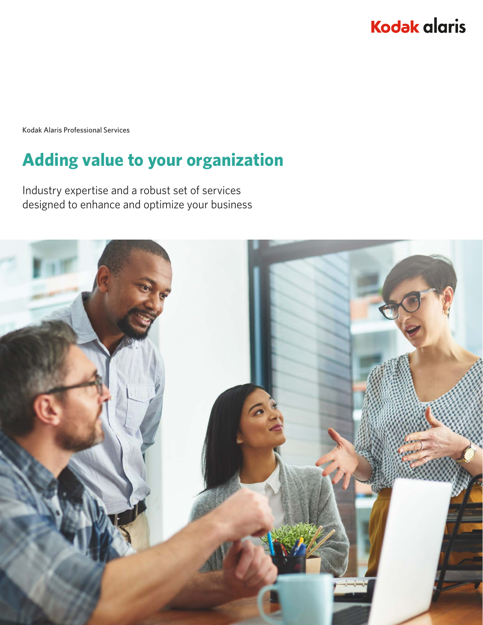# **Kodak alaris**

Kodak Alaris Professional Services

# **Adding value to your organization**

Industry expertise and a robust set of services designed to enhance and optimize your business

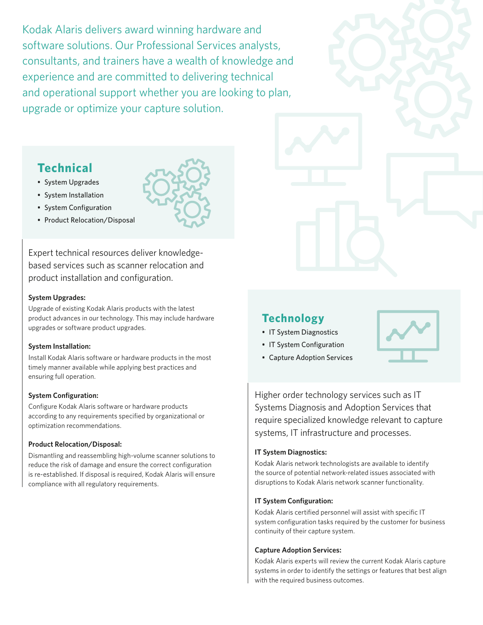Kodak Alaris delivers award winning hardware and software solutions. Our Professional Services analysts, consultants, and trainers have a wealth of knowledge and experience and are committed to delivering technical and operational support whether you are looking to plan, upgrade or optimize your capture solution.

## **Technical**

- System Upgrades
- System Installation
- System Configuration
- Product Relocation/Disposal

Expert technical resources deliver knowledgebased services such as scanner relocation and product installation and configuration.

#### **System Upgrades:**

Upgrade of existing Kodak Alaris products with the latest product advances in our technology. This may include hardware upgrades or software product upgrades.

#### **System Installation:**

Install Kodak Alaris software or hardware products in the most timely manner available while applying best practices and ensuring full operation.

#### **System Configuration:**

Configure Kodak Alaris software or hardware products according to any requirements specified by organizational or optimization recommendations.

#### **Product Relocation/Disposal:**

Dismantling and reassembling high-volume scanner solutions to reduce the risk of damage and ensure the correct configuration is re-established. If disposal is required, Kodak Alaris will ensure compliance with all regulatory requirements.

### **Technology**

- IT System Diagnostics
- IT System Configuration
- 

• Capture Adoption Services

Higher order technology services such as IT Systems Diagnosis and Adoption Services that require specialized knowledge relevant to capture systems, IT infrastructure and processes.

#### **IT System Diagnostics:**

Kodak Alaris network technologists are available to identify the source of potential network-related issues associated with disruptions to Kodak Alaris network scanner functionality.

#### **IT System Configuration:**

Kodak Alaris certified personnel will assist with specific IT system configuration tasks required by the customer for business continuity of their capture system.

#### **Capture Adoption Services:**

Kodak Alaris experts will review the current Kodak Alaris capture systems in order to identify the settings or features that best align with the required business outcomes.

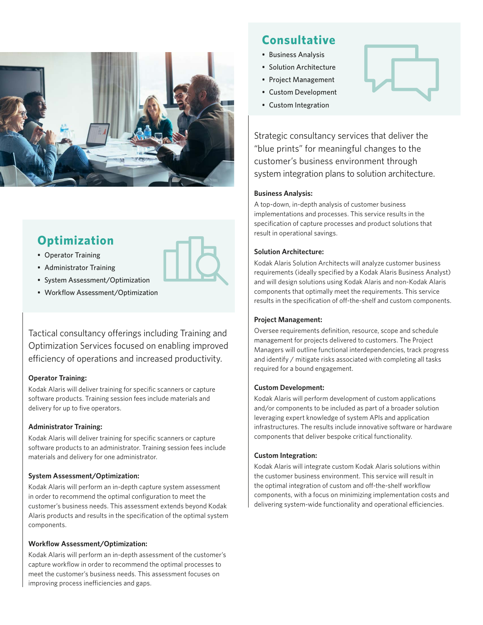

## **Optimization**

- Operator Training
- Administrator Training
- System Assessment/Optimization
- Workflow Assessment/Optimization

Tactical consultancy offerings including Training and Optimization Services focused on enabling improved efficiency of operations and increased productivity.

#### **Operator Training:**

Kodak Alaris will deliver training for specific scanners or capture software products. Training session fees include materials and delivery for up to five operators.

#### **Administrator Training:**

Kodak Alaris will deliver training for specific scanners or capture software products to an administrator. Training session fees include materials and delivery for one administrator.

#### **System Assessment/Optimization:**

Kodak Alaris will perform an in-depth capture system assessment in order to recommend the optimal configuration to meet the customer's business needs. This assessment extends beyond Kodak Alaris products and results in the specification of the optimal system components.

#### **Workflow Assessment/Optimization:**

Kodak Alaris will perform an in-depth assessment of the customer's capture workflow in order to recommend the optimal processes to meet the customer's business needs. This assessment focuses on improving process inefficiencies and gaps.

## **Consultative**

- Business Analysis
- Solution Architecture
- Project Management
- Custom Development
- Custom Integration



Strategic consultancy services that deliver the "blue prints" for meaningful changes to the customer's business environment through system integration plans to solution architecture.

#### **Business Analysis:**

A top-down, in-depth analysis of customer business implementations and processes. This service results in the specification of capture processes and product solutions that result in operational savings.

#### **Solution Architecture:**

Kodak Alaris Solution Architects will analyze customer business requirements (ideally specified by a Kodak Alaris Business Analyst) and will design solutions using Kodak Alaris and non-Kodak Alaris components that optimally meet the requirements. This service results in the specification of off-the-shelf and custom components.

#### **Project Management:**

Oversee requirements definition, resource, scope and schedule management for projects delivered to customers. The Project Managers will outline functional interdependencies, track progress and identify / mitigate risks associated with completing all tasks required for a bound engagement.

#### **Custom Development:**

Kodak Alaris will perform development of custom applications and/or components to be included as part of a broader solution leveraging expert knowledge of system APIs and application infrastructures. The results include innovative software or hardware components that deliver bespoke critical functionality.

#### **Custom Integration:**

Kodak Alaris will integrate custom Kodak Alaris solutions within the customer business environment. This service will result in the optimal integration of custom and off-the-shelf workflow components, with a focus on minimizing implementation costs and delivering system-wide functionality and operational efficiencies.